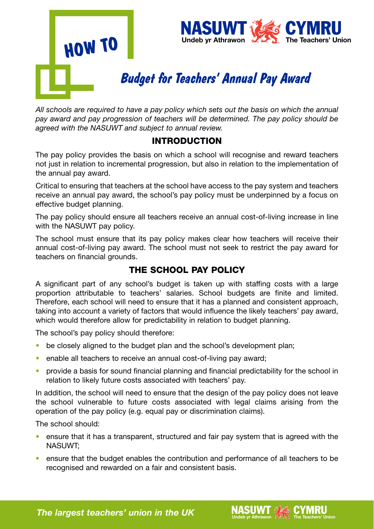



# *Budget for Teachers' Annual Pay Award*

*All schools are required to have a pay policy which sets out the basis on which the annual pay award and pay progression of teachers will be determined. The pay policy should be agreed with the NASUWT and subject to annual review.* 

### INTRODUCTION

The pay policy provides the basis on which a school will recognise and reward teachers not just in relation to incremental progression, but also in relation to the implementation of the annual pay award.

Critical to ensuring that teachers at the school have access to the pay system and teachers receive an annual pay award, the school's pay policy must be underpinned by a focus on effective budget planning.

The pay policy should ensure all teachers receive an annual cost-of-living increase in line with the NASUWT pay policy.

The school must ensure that its pay policy makes clear how teachers will receive their annual cost-of-living pay award. The school must not seek to restrict the pay award for teachers on financial grounds.

## THE SCHOOL PAY POLICY

A significant part of any school's budget is taken up with staffing costs with a large proportion attributable to teachers' salaries. School budgets are finite and limited. Therefore, each school will need to ensure that it has a planned and consistent approach, taking into account a variety of factors that would influence the likely teachers' pay award, which would therefore allow for predictability in relation to budget planning.

The school's pay policy should therefore:

- be closely aligned to the budget plan and the school's development plan;
- enable all teachers to receive an annual cost-of-living pay award;
- provide a basis for sound financial planning and financial predictability for the school in relation to likely future costs associated with teachers' pay.

In addition, the school will need to ensure that the design of the pay policy does not leave the school vulnerable to future costs associated with legal claims arising from the operation of the pay policy (e.g. equal pay or discrimination claims).

The school should:

- ensure that it has a transparent, structured and fair pay system that is agreed with the NASUWT;
- ensure that the budget enables the contribution and performance of all teachers to be recognised and rewarded on a fair and consistent basis.

**Undeb yr Athrawon allegation** The Teachers' Union

**The largest teachers' union in the UK**